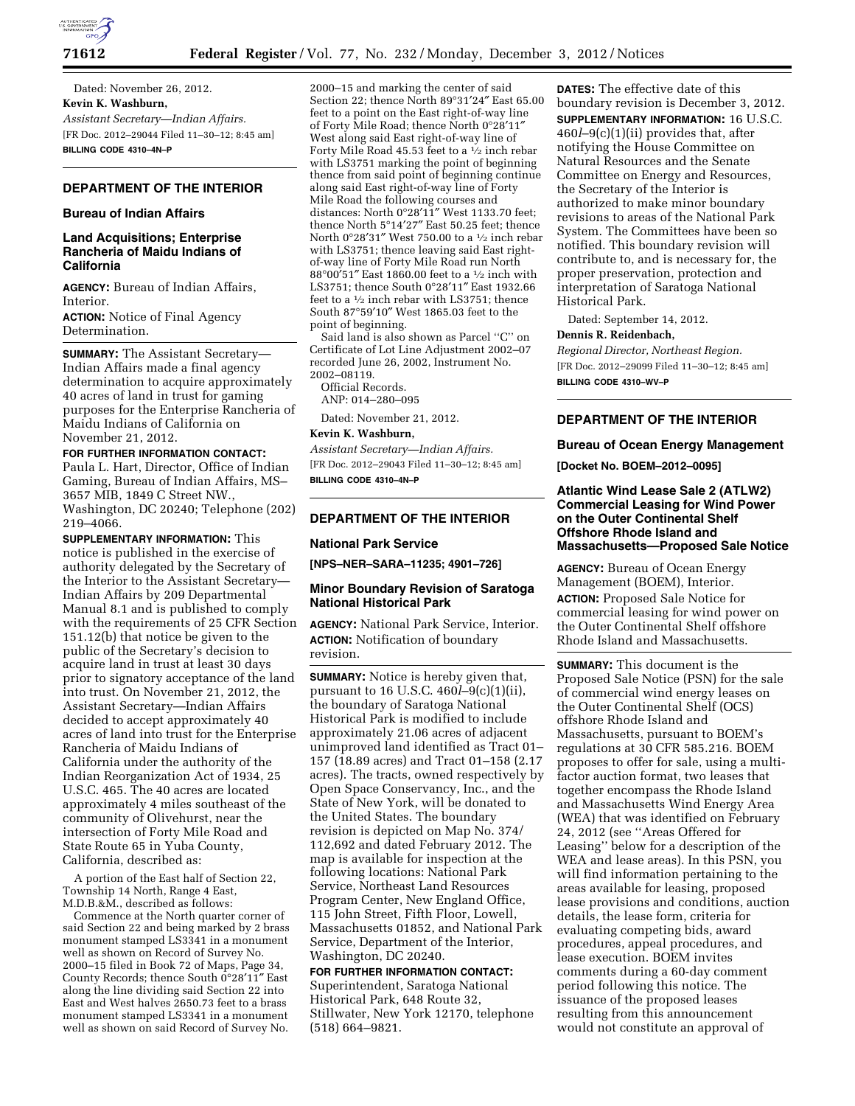

Dated: November 26, 2012. **Kevin K. Washburn,**  *Assistant Secretary—Indian Affairs.*  [FR Doc. 2012–29044 Filed 11–30–12; 8:45 am] **BILLING CODE 4310–4N–P** 

# **DEPARTMENT OF THE INTERIOR**

# **Bureau of Indian Affairs**

# **Land Acquisitions; Enterprise Rancheria of Maidu Indians of California**

**AGENCY:** Bureau of Indian Affairs, Interior.

**ACTION:** Notice of Final Agency Determination.

**SUMMARY:** The Assistant Secretary— Indian Affairs made a final agency determination to acquire approximately 40 acres of land in trust for gaming purposes for the Enterprise Rancheria of Maidu Indians of California on November 21, 2012.

### **FOR FURTHER INFORMATION CONTACT:**

Paula L. Hart, Director, Office of Indian Gaming, Bureau of Indian Affairs, MS– 3657 MIB, 1849 C Street NW., Washington, DC 20240; Telephone (202) 219–4066.

**SUPPLEMENTARY INFORMATION:** This notice is published in the exercise of authority delegated by the Secretary of the Interior to the Assistant Secretary— Indian Affairs by 209 Departmental Manual 8.1 and is published to comply with the requirements of 25 CFR Section 151.12(b) that notice be given to the public of the Secretary's decision to acquire land in trust at least 30 days prior to signatory acceptance of the land into trust. On November 21, 2012, the Assistant Secretary—Indian Affairs decided to accept approximately 40 acres of land into trust for the Enterprise Rancheria of Maidu Indians of California under the authority of the Indian Reorganization Act of 1934, 25 U.S.C. 465. The 40 acres are located approximately 4 miles southeast of the community of Olivehurst, near the intersection of Forty Mile Road and State Route 65 in Yuba County, California, described as:

A portion of the East half of Section 22, Township 14 North, Range 4 East, M.D.B.&M., described as follows:

Commence at the North quarter corner of said Section 22 and being marked by 2 brass monument stamped LS3341 in a monument well as shown on Record of Survey No. 2000–15 filed in Book 72 of Maps, Page 34, County Records; thence South 0°28′11″ East along the line dividing said Section 22 into East and West halves 2650.73 feet to a brass monument stamped LS3341 in a monument well as shown on said Record of Survey No.

2000–15 and marking the center of said Section 22; thence North 89°31′24″ East 65.00 feet to a point on the East right-of-way line of Forty Mile Road; thence North 0°28′11″ West along said East right-of-way line of Forty Mile Road 45.53 feet to a 1⁄2 inch rebar with LS3751 marking the point of beginning thence from said point of beginning continue along said East right-of-way line of Forty Mile Road the following courses and distances: North 0°28′11″ West 1133.70 feet; thence North 5°14′27″ East 50.25 feet; thence North 0°28′31″ West 750.00 to a 1⁄2 inch rebar with LS3751; thence leaving said East rightof-way line of Forty Mile Road run North 88°00′51″ East 1860.00 feet to a 1⁄2 inch with LS3751; thence South 0°28′11″ East 1932.66 feet to a 1⁄2 inch rebar with LS3751; thence South 87°59′10″ West 1865.03 feet to the point of beginning.

Said land is also shown as Parcel ''C'' on Certificate of Lot Line Adjustment 2002–07 recorded June 26, 2002, Instrument No. 2002–08119.

Official Records. ANP: 014–280–095

Dated: November 21, 2012.

### **Kevin K. Washburn,**

*Assistant Secretary—Indian Affairs.* 

[FR Doc. 2012–29043 Filed 11–30–12; 8:45 am] **BILLING CODE 4310–4N–P** 

# **DEPARTMENT OF THE INTERIOR**

# **National Park Service**

**[NPS–NER–SARA–11235; 4901–726]** 

# **Minor Boundary Revision of Saratoga National Historical Park**

**AGENCY:** National Park Service, Interior. **ACTION:** Notification of boundary revision.

**SUMMARY:** Notice is hereby given that, pursuant to 16 U.S.C. 460*l*–9(c)(1)(ii), the boundary of Saratoga National Historical Park is modified to include approximately 21.06 acres of adjacent unimproved land identified as Tract 01– 157 (18.89 acres) and Tract 01–158 (2.17 acres). The tracts, owned respectively by Open Space Conservancy, Inc., and the State of New York, will be donated to the United States. The boundary revision is depicted on Map No. 374/ 112,692 and dated February 2012. The map is available for inspection at the following locations: National Park Service, Northeast Land Resources Program Center, New England Office, 115 John Street, Fifth Floor, Lowell, Massachusetts 01852, and National Park Service, Department of the Interior, Washington, DC 20240.

### **FOR FURTHER INFORMATION CONTACT:**  Superintendent, Saratoga National

Historical Park, 648 Route 32, Stillwater, New York 12170, telephone (518) 664–9821.

**DATES:** The effective date of this boundary revision is December 3, 2012. **SUPPLEMENTARY INFORMATION:** 16 U.S.C. 460*l*–9(c)(1)(ii) provides that, after notifying the House Committee on Natural Resources and the Senate Committee on Energy and Resources, the Secretary of the Interior is authorized to make minor boundary revisions to areas of the National Park System. The Committees have been so notified. This boundary revision will contribute to, and is necessary for, the proper preservation, protection and interpretation of Saratoga National Historical Park.

Dated: September 14, 2012.

#### **Dennis R. Reidenbach,**

*Regional Director, Northeast Region.*  [FR Doc. 2012–29099 Filed 11–30–12; 8:45 am] **BILLING CODE 4310–WV–P** 

### **DEPARTMENT OF THE INTERIOR**

### **Bureau of Ocean Energy Management**

**[Docket No. BOEM–2012–0095]** 

# **Atlantic Wind Lease Sale 2 (ATLW2) Commercial Leasing for Wind Power on the Outer Continental Shelf Offshore Rhode Island and Massachusetts—Proposed Sale Notice**

**AGENCY:** Bureau of Ocean Energy Management (BOEM), Interior. **ACTION:** Proposed Sale Notice for commercial leasing for wind power on the Outer Continental Shelf offshore Rhode Island and Massachusetts.

**SUMMARY:** This document is the Proposed Sale Notice (PSN) for the sale of commercial wind energy leases on the Outer Continental Shelf (OCS) offshore Rhode Island and Massachusetts, pursuant to BOEM's regulations at 30 CFR 585.216. BOEM proposes to offer for sale, using a multifactor auction format, two leases that together encompass the Rhode Island and Massachusetts Wind Energy Area (WEA) that was identified on February 24, 2012 (see ''Areas Offered for Leasing'' below for a description of the WEA and lease areas). In this PSN, you will find information pertaining to the areas available for leasing, proposed lease provisions and conditions, auction details, the lease form, criteria for evaluating competing bids, award procedures, appeal procedures, and lease execution. BOEM invites comments during a 60-day comment period following this notice. The issuance of the proposed leases resulting from this announcement would not constitute an approval of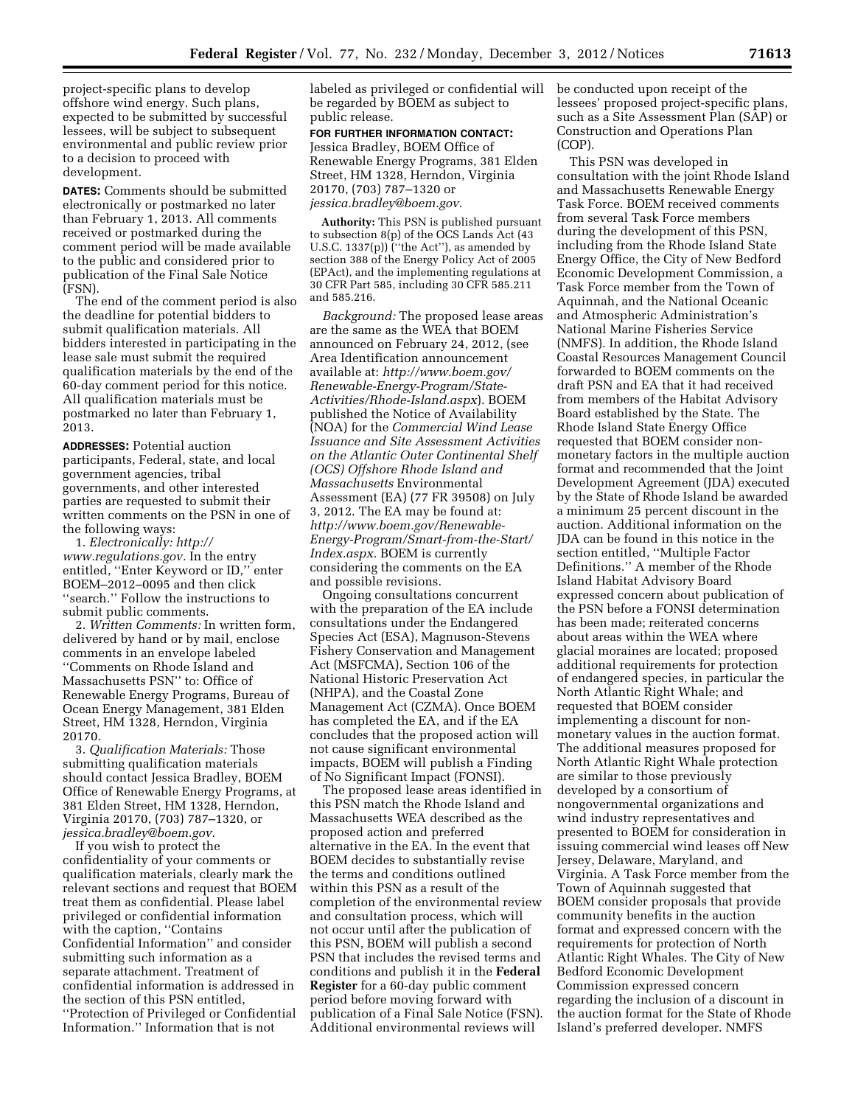project-specific plans to develop offshore wind energy. Such plans, expected to be submitted by successful lessees, will be subject to subsequent environmental and public review prior to a decision to proceed with development.

**DATES:** Comments should be submitted electronically or postmarked no later than February 1, 2013. All comments received or postmarked during the comment period will be made available to the public and considered prior to publication of the Final Sale Notice (FSN).

The end of the comment period is also the deadline for potential bidders to submit qualification materials. All bidders interested in participating in the lease sale must submit the required qualification materials by the end of the 60-day comment period for this notice. All qualification materials must be postmarked no later than February 1, 2013.

**ADDRESSES:** Potential auction participants, Federal, state, and local government agencies, tribal governments, and other interested parties are requested to submit their written comments on the PSN in one of the following ways:

1. *Electronically: [http://](http://www.regulations.gov) [www.regulations.gov.](http://www.regulations.gov)* In the entry entitled, ''Enter Keyword or ID,'' enter BOEM–2012–0095 and then click ''search.'' Follow the instructions to submit public comments.

2. *Written Comments:* In written form, delivered by hand or by mail, enclose comments in an envelope labeled ''Comments on Rhode Island and Massachusetts PSN'' to: Office of Renewable Energy Programs, Bureau of Ocean Energy Management, 381 Elden Street, HM 1328, Herndon, Virginia 20170.

3. *Qualification Materials:* Those submitting qualification materials should contact Jessica Bradley, BOEM Office of Renewable Energy Programs, at 381 Elden Street, HM 1328, Herndon, Virginia 20170, (703) 787–1320, or *[jessica.bradley@boem.gov.](mailto:jessica.bradley@boem.gov)* 

If you wish to protect the confidentiality of your comments or qualification materials, clearly mark the relevant sections and request that BOEM treat them as confidential. Please label privileged or confidential information with the caption, "Contains Confidential Information'' and consider submitting such information as a separate attachment. Treatment of confidential information is addressed in the section of this PSN entitled, ''Protection of Privileged or Confidential Information.'' Information that is not

labeled as privileged or confidential will be regarded by BOEM as subject to public release.

**FOR FURTHER INFORMATION CONTACT:**  Jessica Bradley, BOEM Office of Renewable Energy Programs, 381 Elden Street, HM 1328, Herndon, Virginia 20170, (703) 787–1320 or *[jessica.bradley@boem.gov.](mailto:jessica.bradley@boem.gov)* 

**Authority:** This PSN is published pursuant to subsection 8(p) of the OCS Lands Act (43 U.S.C. 1337(p)) ("the Act"), as amended by section 388 of the Energy Policy Act of 2005 (EPAct), and the implementing regulations at 30 CFR Part 585, including 30 CFR 585.211 and 585.216.

*Background:* The proposed lease areas are the same as the WEA that BOEM announced on February 24, 2012, (see Area Identification announcement available at: *[http://www.boem.gov/](http://www.boem.gov/Renewable-Energy-Program/State-Activities/Rhode-Island.aspx) [Renewable-Energy-Program/State-](http://www.boem.gov/Renewable-Energy-Program/State-Activities/Rhode-Island.aspx)[Activities/Rhode-Island.aspx](http://www.boem.gov/Renewable-Energy-Program/State-Activities/Rhode-Island.aspx)*). BOEM published the Notice of Availability (NOA) for the *Commercial Wind Lease Issuance and Site Assessment Activities on the Atlantic Outer Continental Shelf (OCS) Offshore Rhode Island and Massachusetts* Environmental Assessment (EA) (77 FR 39508) on July 3, 2012. The EA may be found at: *[http://www.boem.gov/Renewable-](http://www.boem.gov/Renewable-Energy-Program/Smart-from-the-Start/Index.aspx)[Energy-Program/Smart-from-the-Start/](http://www.boem.gov/Renewable-Energy-Program/Smart-from-the-Start/Index.aspx)  [Index.aspx.](http://www.boem.gov/Renewable-Energy-Program/Smart-from-the-Start/Index.aspx)* BOEM is currently considering the comments on the EA and possible revisions.

Ongoing consultations concurrent with the preparation of the EA include consultations under the Endangered Species Act (ESA), Magnuson-Stevens Fishery Conservation and Management Act (MSFCMA), Section 106 of the National Historic Preservation Act (NHPA), and the Coastal Zone Management Act (CZMA). Once BOEM has completed the EA, and if the EA concludes that the proposed action will not cause significant environmental impacts, BOEM will publish a Finding of No Significant Impact (FONSI).

The proposed lease areas identified in this PSN match the Rhode Island and Massachusetts WEA described as the proposed action and preferred alternative in the EA. In the event that BOEM decides to substantially revise the terms and conditions outlined within this PSN as a result of the completion of the environmental review and consultation process, which will not occur until after the publication of this PSN, BOEM will publish a second PSN that includes the revised terms and conditions and publish it in the **Federal Register** for a 60-day public comment period before moving forward with publication of a Final Sale Notice (FSN). Additional environmental reviews will

be conducted upon receipt of the lessees' proposed project-specific plans, such as a Site Assessment Plan (SAP) or Construction and Operations Plan (COP).

This PSN was developed in consultation with the joint Rhode Island and Massachusetts Renewable Energy Task Force. BOEM received comments from several Task Force members during the development of this PSN, including from the Rhode Island State Energy Office, the City of New Bedford Economic Development Commission, a Task Force member from the Town of Aquinnah, and the National Oceanic and Atmospheric Administration's National Marine Fisheries Service (NMFS). In addition, the Rhode Island Coastal Resources Management Council forwarded to BOEM comments on the draft PSN and EA that it had received from members of the Habitat Advisory Board established by the State. The Rhode Island State Energy Office requested that BOEM consider nonmonetary factors in the multiple auction format and recommended that the Joint Development Agreement (JDA) executed by the State of Rhode Island be awarded a minimum 25 percent discount in the auction. Additional information on the JDA can be found in this notice in the section entitled, ''Multiple Factor Definitions.'' A member of the Rhode Island Habitat Advisory Board expressed concern about publication of the PSN before a FONSI determination has been made; reiterated concerns about areas within the WEA where glacial moraines are located; proposed additional requirements for protection of endangered species, in particular the North Atlantic Right Whale; and requested that BOEM consider implementing a discount for nonmonetary values in the auction format. The additional measures proposed for North Atlantic Right Whale protection are similar to those previously developed by a consortium of nongovernmental organizations and wind industry representatives and presented to BOEM for consideration in issuing commercial wind leases off New Jersey, Delaware, Maryland, and Virginia. A Task Force member from the Town of Aquinnah suggested that BOEM consider proposals that provide community benefits in the auction format and expressed concern with the requirements for protection of North Atlantic Right Whales. The City of New Bedford Economic Development Commission expressed concern regarding the inclusion of a discount in the auction format for the State of Rhode Island's preferred developer. NMFS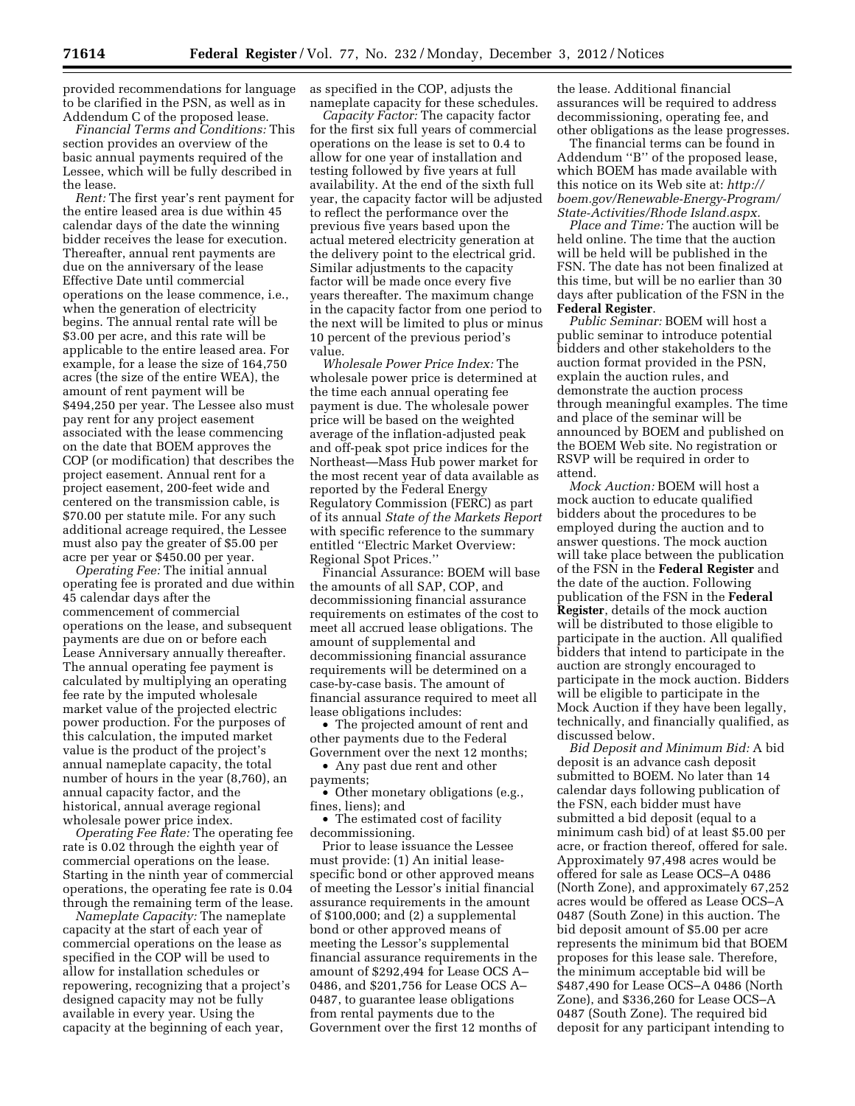provided recommendations for language to be clarified in the PSN, as well as in Addendum C of the proposed lease.

*Financial Terms and Conditions:* This section provides an overview of the basic annual payments required of the Lessee, which will be fully described in the lease.

*Rent:* The first year's rent payment for the entire leased area is due within 45 calendar days of the date the winning bidder receives the lease for execution. Thereafter, annual rent payments are due on the anniversary of the lease Effective Date until commercial operations on the lease commence, i.e., when the generation of electricity begins. The annual rental rate will be \$3.00 per acre, and this rate will be applicable to the entire leased area. For example, for a lease the size of 164,750 acres (the size of the entire WEA), the amount of rent payment will be \$494,250 per year. The Lessee also must pay rent for any project easement associated with the lease commencing on the date that BOEM approves the COP (or modification) that describes the project easement. Annual rent for a project easement, 200-feet wide and centered on the transmission cable, is \$70.00 per statute mile. For any such additional acreage required, the Lessee must also pay the greater of \$5.00 per acre per year or \$450.00 per year.

*Operating Fee:* The initial annual operating fee is prorated and due within 45 calendar days after the commencement of commercial operations on the lease, and subsequent payments are due on or before each Lease Anniversary annually thereafter. The annual operating fee payment is calculated by multiplying an operating fee rate by the imputed wholesale market value of the projected electric power production. For the purposes of this calculation, the imputed market value is the product of the project's annual nameplate capacity, the total number of hours in the year (8,760), an annual capacity factor, and the historical, annual average regional wholesale power price index.

*Operating Fee Rate:* The operating fee rate is 0.02 through the eighth year of commercial operations on the lease. Starting in the ninth year of commercial operations, the operating fee rate is 0.04 through the remaining term of the lease.

*Nameplate Capacity:* The nameplate capacity at the start of each year of commercial operations on the lease as specified in the COP will be used to allow for installation schedules or repowering, recognizing that a project's designed capacity may not be fully available in every year. Using the capacity at the beginning of each year,

as specified in the COP, adjusts the nameplate capacity for these schedules.

*Capacity Factor:* The capacity factor for the first six full years of commercial operations on the lease is set to 0.4 to allow for one year of installation and testing followed by five years at full availability. At the end of the sixth full year, the capacity factor will be adjusted to reflect the performance over the previous five years based upon the actual metered electricity generation at the delivery point to the electrical grid. Similar adjustments to the capacity factor will be made once every five years thereafter. The maximum change in the capacity factor from one period to the next will be limited to plus or minus 10 percent of the previous period's value.

*Wholesale Power Price Index:* The wholesale power price is determined at the time each annual operating fee payment is due. The wholesale power price will be based on the weighted average of the inflation-adjusted peak and off-peak spot price indices for the Northeast—Mass Hub power market for the most recent year of data available as reported by the Federal Energy Regulatory Commission (FERC) as part of its annual *State of the Markets Report*  with specific reference to the summary entitled ''Electric Market Overview: Regional Spot Prices.''

Financial Assurance: BOEM will base the amounts of all SAP, COP, and decommissioning financial assurance requirements on estimates of the cost to meet all accrued lease obligations. The amount of supplemental and decommissioning financial assurance requirements will be determined on a case-by-case basis. The amount of financial assurance required to meet all lease obligations includes:

• The projected amount of rent and other payments due to the Federal Government over the next 12 months;

• Any past due rent and other payments;

• Other monetary obligations (e.g., fines, liens); and

• The estimated cost of facility decommissioning.

Prior to lease issuance the Lessee must provide: (1) An initial leasespecific bond or other approved means of meeting the Lessor's initial financial assurance requirements in the amount of \$100,000; and (2) a supplemental bond or other approved means of meeting the Lessor's supplemental financial assurance requirements in the amount of \$292,494 for Lease OCS A– 0486, and \$201,756 for Lease OCS A– 0487, to guarantee lease obligations from rental payments due to the Government over the first 12 months of the lease. Additional financial assurances will be required to address decommissioning, operating fee, and other obligations as the lease progresses.

The financial terms can be found in Addendum ''B'' of the proposed lease, which BOEM has made available with this notice on its Web site at: *[http://](http://www.boem.gov/Renewable-Energy-Program/State-Activities/Rhode-Island.aspx)  [boem.gov/Renewable-Energy-Program/](http://www.boem.gov/Renewable-Energy-Program/State-Activities/Rhode-Island.aspx)  [State-Activities/Rhode Island.aspx.](http://www.boem.gov/Renewable-Energy-Program/State-Activities/Rhode-Island.aspx)* 

*Place and Time:* The auction will be held online. The time that the auction will be held will be published in the FSN. The date has not been finalized at this time, but will be no earlier than 30 days after publication of the FSN in the **Federal Register**.

*Public Seminar:* BOEM will host a public seminar to introduce potential bidders and other stakeholders to the auction format provided in the PSN, explain the auction rules, and demonstrate the auction process through meaningful examples. The time and place of the seminar will be announced by BOEM and published on the BOEM Web site. No registration or RSVP will be required in order to attend.

*Mock Auction:* BOEM will host a mock auction to educate qualified bidders about the procedures to be employed during the auction and to answer questions. The mock auction will take place between the publication of the FSN in the **Federal Register** and the date of the auction. Following publication of the FSN in the **Federal Register**, details of the mock auction will be distributed to those eligible to participate in the auction. All qualified bidders that intend to participate in the auction are strongly encouraged to participate in the mock auction. Bidders will be eligible to participate in the Mock Auction if they have been legally, technically, and financially qualified, as discussed below.

*Bid Deposit and Minimum Bid:* A bid deposit is an advance cash deposit submitted to BOEM. No later than 14 calendar days following publication of the FSN, each bidder must have submitted a bid deposit (equal to a minimum cash bid) of at least \$5.00 per acre, or fraction thereof, offered for sale. Approximately 97,498 acres would be offered for sale as Lease OCS–A 0486 (North Zone), and approximately 67,252 acres would be offered as Lease OCS–A 0487 (South Zone) in this auction. The bid deposit amount of \$5.00 per acre represents the minimum bid that BOEM proposes for this lease sale. Therefore, the minimum acceptable bid will be \$487,490 for Lease OCS–A 0486 (North Zone), and \$336,260 for Lease OCS–A 0487 (South Zone). The required bid deposit for any participant intending to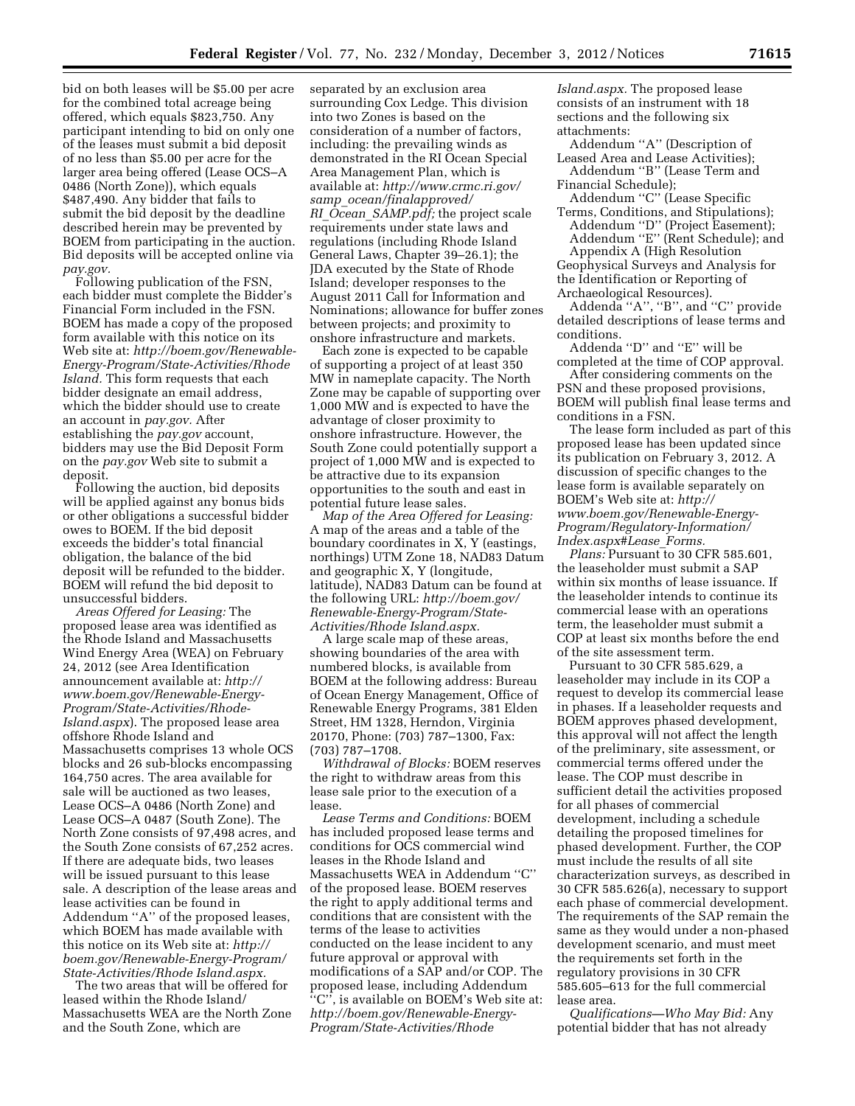bid on both leases will be \$5.00 per acre for the combined total acreage being offered, which equals \$823,750. Any participant intending to bid on only one of the leases must submit a bid deposit of no less than \$5.00 per acre for the larger area being offered (Lease OCS–A 0486 (North Zone)), which equals \$487,490. Any bidder that fails to submit the bid deposit by the deadline described herein may be prevented by BOEM from participating in the auction. Bid deposits will be accepted online via *pay.gov.* 

Following publication of the FSN, each bidder must complete the Bidder's Financial Form included in the FSN. BOEM has made a copy of the proposed form available with this notice on its Web site at: *[http://boem.gov/Renewable-](http://www.boem.gov/Renewable-Energy-Program/State-Activities/Rhode-Island.aspx)[Energy-Program/State-Activities/Rhode](http://www.boem.gov/Renewable-Energy-Program/State-Activities/Rhode-Island.aspx)  [Island.](http://www.boem.gov/Renewable-Energy-Program/State-Activities/Rhode-Island.aspx)* This form requests that each bidder designate an email address, which the bidder should use to create an account in *pay.gov.* After establishing the *pay.gov* account, bidders may use the Bid Deposit Form on the *pay.gov* Web site to submit a deposit.

Following the auction, bid deposits will be applied against any bonus bids or other obligations a successful bidder owes to BOEM. If the bid deposit exceeds the bidder's total financial obligation, the balance of the bid deposit will be refunded to the bidder. BOEM will refund the bid deposit to unsuccessful bidders.

*Areas Offered for Leasing:* The proposed lease area was identified as the Rhode Island and Massachusetts Wind Energy Area (WEA) on February 24, 2012 (see Area Identification announcement available at: *[http://](http://www.boem.gov/Renewable-Energy-Program/State-Activities/Rhode-Island.aspx) [www.boem.gov/Renewable-Energy-](http://www.boem.gov/Renewable-Energy-Program/State-Activities/Rhode-Island.aspx)[Program/State-Activities/Rhode-](http://www.boem.gov/Renewable-Energy-Program/State-Activities/Rhode-Island.aspx)[Island.aspx](http://www.boem.gov/Renewable-Energy-Program/State-Activities/Rhode-Island.aspx)*). The proposed lease area offshore Rhode Island and Massachusetts comprises 13 whole OCS blocks and 26 sub-blocks encompassing 164,750 acres. The area available for sale will be auctioned as two leases, Lease OCS–A 0486 (North Zone) and Lease OCS–A 0487 (South Zone). The North Zone consists of 97,498 acres, and the South Zone consists of 67,252 acres. If there are adequate bids, two leases will be issued pursuant to this lease sale. A description of the lease areas and lease activities can be found in Addendum ''A'' of the proposed leases, which BOEM has made available with this notice on its Web site at: *[http://](http://www.boem.gov/Renewable-Energy-Program/State-Activities/Rhode-Island.aspx)  [boem.gov/Renewable-Energy-Program/](http://www.boem.gov/Renewable-Energy-Program/State-Activities/Rhode-Island.aspx)  [State-Activities/Rhode Island.aspx.](http://www.boem.gov/Renewable-Energy-Program/State-Activities/Rhode-Island.aspx)* 

The two areas that will be offered for leased within the Rhode Island/ Massachusetts WEA are the North Zone and the South Zone, which are

separated by an exclusion area surrounding Cox Ledge. This division into two Zones is based on the consideration of a number of factors, including: the prevailing winds as demonstrated in the RI Ocean Special Area Management Plan, which is available at: *[http://www.crmc.ri.gov/](http://www.crmc.ri.gov/samp_ocean/finalapproved/RI_Ocean_SAMP.pdf)  samp*\_*[ocean/finalapproved/](http://www.crmc.ri.gov/samp_ocean/finalapproved/RI_Ocean_SAMP.pdf)  RI*\_*Ocean*\_*[SAMP.pdf;](http://www.crmc.ri.gov/samp_ocean/finalapproved/RI_Ocean_SAMP.pdf)* the project scale requirements under state laws and regulations (including Rhode Island General Laws, Chapter 39–26.1); the JDA executed by the State of Rhode Island; developer responses to the August 2011 Call for Information and Nominations; allowance for buffer zones between projects; and proximity to onshore infrastructure and markets.

Each zone is expected to be capable of supporting a project of at least 350 MW in nameplate capacity. The North Zone may be capable of supporting over 1,000 MW and is expected to have the advantage of closer proximity to onshore infrastructure. However, the South Zone could potentially support a project of 1,000 MW and is expected to be attractive due to its expansion opportunities to the south and east in potential future lease sales.

*Map of the Area Offered for Leasing:*  A map of the areas and a table of the boundary coordinates in X, Y (eastings, northings) UTM Zone 18, NAD83 Datum and geographic X, Y (longitude, latitude), NAD83 Datum can be found at the following URL: *[http://boem.gov/](http://www.boem.gov/Renewable-Energy-Program/State-Activities/Rhode-Island.aspx)  [Renewable-Energy-Program/State-](http://www.boem.gov/Renewable-Energy-Program/State-Activities/Rhode-Island.aspx)[Activities/Rhode Island.aspx.](http://www.boem.gov/Renewable-Energy-Program/State-Activities/Rhode-Island.aspx)* 

A large scale map of these areas, showing boundaries of the area with numbered blocks, is available from BOEM at the following address: Bureau of Ocean Energy Management, Office of Renewable Energy Programs, 381 Elden Street, HM 1328, Herndon, Virginia 20170, Phone: (703) 787–1300, Fax: (703) 787–1708.

*Withdrawal of Blocks:* BOEM reserves the right to withdraw areas from this lease sale prior to the execution of a lease.

*Lease Terms and Conditions:* BOEM has included proposed lease terms and conditions for OCS commercial wind leases in the Rhode Island and Massachusetts WEA in Addendum ''C'' of the proposed lease. BOEM reserves the right to apply additional terms and conditions that are consistent with the terms of the lease to activities conducted on the lease incident to any future approval or approval with modifications of a SAP and/or COP. The proposed lease, including Addendum ''C'', is available on BOEM's Web site at: *[http://boem.gov/Renewable-Energy-](http://www.boem.gov/Renewable-Energy-Program/State-Activities/Rhode-Island.aspx)[Program/State-Activities/Rhode](http://www.boem.gov/Renewable-Energy-Program/State-Activities/Rhode-Island.aspx)* 

*[Island.aspx.](http://www.boem.gov/Renewable-Energy-Program/State-Activities/Rhode-Island.aspx)* The proposed lease consists of an instrument with 18 sections and the following six attachments:

Addendum ''A'' (Description of Leased Area and Lease Activities);

Addendum ''B'' (Lease Term and Financial Schedule);

Addendum ''C'' (Lease Specific Terms, Conditions, and Stipulations); Addendum ''D'' (Project Easement);

Addendum ''E'' (Rent Schedule); and Appendix A (High Resolution

Geophysical Surveys and Analysis for the Identification or Reporting of Archaeological Resources).

Addenda ''A'', ''B'', and ''C'' provide detailed descriptions of lease terms and conditions.

Addenda ''D'' and ''E'' will be completed at the time of COP approval.

After considering comments on the PSN and these proposed provisions, BOEM will publish final lease terms and conditions in a FSN.

The lease form included as part of this proposed lease has been updated since its publication on February 3, 2012. A discussion of specific changes to the lease form is available separately on BOEM's Web site at: *[http://](http://www.boem.gov/Renewable-Energy-Program/Regulatory-Information/Index.aspx#Lease_Forms)  [www.boem.gov/Renewable-Energy-](http://www.boem.gov/Renewable-Energy-Program/Regulatory-Information/Index.aspx#Lease_Forms)[Program/Regulatory-Information/](http://www.boem.gov/Renewable-Energy-Program/Regulatory-Information/Index.aspx#Lease_Forms)  [Index.aspx#Lease](http://www.boem.gov/Renewable-Energy-Program/Regulatory-Information/Index.aspx#Lease_Forms)*\_*Forms.* 

*Plans:* Pursuant to 30 CFR 585.601, the leaseholder must submit a SAP within six months of lease issuance. If the leaseholder intends to continue its commercial lease with an operations term, the leaseholder must submit a COP at least six months before the end of the site assessment term.

Pursuant to 30 CFR 585.629, a leaseholder may include in its COP a request to develop its commercial lease in phases. If a leaseholder requests and BOEM approves phased development, this approval will not affect the length of the preliminary, site assessment, or commercial terms offered under the lease. The COP must describe in sufficient detail the activities proposed for all phases of commercial development, including a schedule detailing the proposed timelines for phased development. Further, the COP must include the results of all site characterization surveys, as described in 30 CFR 585.626(a), necessary to support each phase of commercial development. The requirements of the SAP remain the same as they would under a non-phased development scenario, and must meet the requirements set forth in the regulatory provisions in 30 CFR 585.605–613 for the full commercial lease area.

*Qualifications—Who May Bid:* Any potential bidder that has not already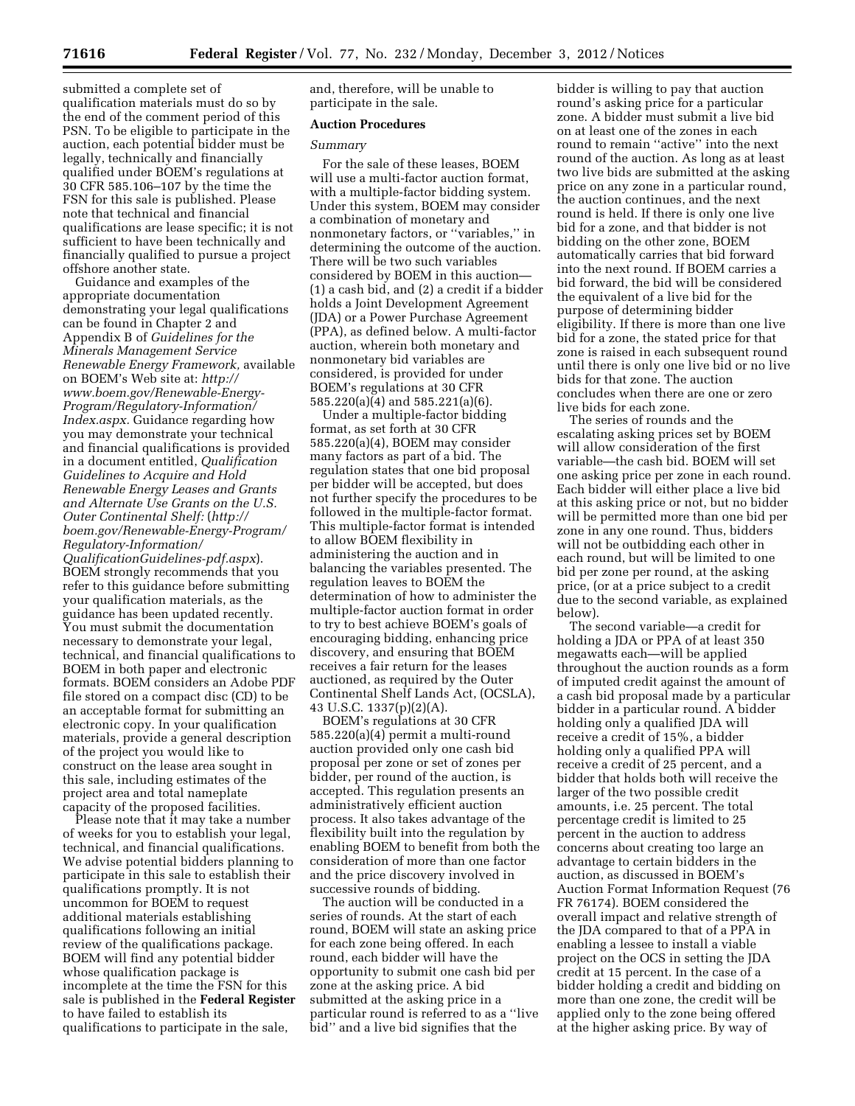submitted a complete set of qualification materials must do so by the end of the comment period of this PSN. To be eligible to participate in the auction, each potential bidder must be legally, technically and financially qualified under BOEM's regulations at 30 CFR 585.106–107 by the time the FSN for this sale is published. Please note that technical and financial qualifications are lease specific; it is not sufficient to have been technically and financially qualified to pursue a project offshore another state.

Guidance and examples of the appropriate documentation demonstrating your legal qualifications can be found in Chapter 2 and Appendix B of *Guidelines for the Minerals Management Service Renewable Energy Framework,* available on BOEM's Web site at: *[http://](http://www.boem.gov/Renewable-Energy-Program/Regulatory-Information/Index.aspx)  [www.boem.gov/Renewable-Energy-](http://www.boem.gov/Renewable-Energy-Program/Regulatory-Information/Index.aspx)[Program/Regulatory-Information/](http://www.boem.gov/Renewable-Energy-Program/Regulatory-Information/Index.aspx)  [Index.aspx.](http://www.boem.gov/Renewable-Energy-Program/Regulatory-Information/Index.aspx)* Guidance regarding how you may demonstrate your technical and financial qualifications is provided in a document entitled, *Qualification Guidelines to Acquire and Hold Renewable Energy Leases and Grants and Alternate Use Grants on the U.S. Outer Continental Shelf:* (*[http://](http://boem.gov/Renewable-Energy-Program/Regulatory-Information/QualificationGuidelines-pdf.aspx)  [boem.gov/Renewable-Energy-Program/](http://boem.gov/Renewable-Energy-Program/Regulatory-Information/QualificationGuidelines-pdf.aspx) [Regulatory-Information/](http://boem.gov/Renewable-Energy-Program/Regulatory-Information/QualificationGuidelines-pdf.aspx) [QualificationGuidelines-pdf.aspx](http://boem.gov/Renewable-Energy-Program/Regulatory-Information/QualificationGuidelines-pdf.aspx)*). BOEM strongly recommends that you refer to this guidance before submitting your qualification materials, as the guidance has been updated recently. You must submit the documentation necessary to demonstrate your legal, technical, and financial qualifications to BOEM in both paper and electronic formats. BOEM considers an Adobe PDF file stored on a compact disc (CD) to be an acceptable format for submitting an electronic copy. In your qualification materials, provide a general description of the project you would like to construct on the lease area sought in this sale, including estimates of the project area and total nameplate capacity of the proposed facilities.

Please note that it may take a number of weeks for you to establish your legal, technical, and financial qualifications. We advise potential bidders planning to participate in this sale to establish their qualifications promptly. It is not uncommon for BOEM to request additional materials establishing qualifications following an initial review of the qualifications package. BOEM will find any potential bidder whose qualification package is incomplete at the time the FSN for this sale is published in the **Federal Register**  to have failed to establish its qualifications to participate in the sale,

and, therefore, will be unable to participate in the sale.

### **Auction Procedures**

#### *Summary*

For the sale of these leases, BOEM will use a multi-factor auction format, with a multiple-factor bidding system. Under this system, BOEM may consider a combination of monetary and nonmonetary factors, or ''variables,'' in determining the outcome of the auction. There will be two such variables considered by BOEM in this auction— (1) a cash bid, and (2) a credit if a bidder holds a Joint Development Agreement (JDA) or a Power Purchase Agreement (PPA), as defined below. A multi-factor auction, wherein both monetary and nonmonetary bid variables are considered, is provided for under BOEM's regulations at 30 CFR 585.220(a)(4) and 585.221(a)(6).

Under a multiple-factor bidding format, as set forth at 30 CFR 585.220(a)(4), BOEM may consider many factors as part of a bid. The regulation states that one bid proposal per bidder will be accepted, but does not further specify the procedures to be followed in the multiple-factor format. This multiple-factor format is intended to allow BOEM flexibility in administering the auction and in balancing the variables presented. The regulation leaves to BOEM the determination of how to administer the multiple-factor auction format in order to try to best achieve BOEM's goals of encouraging bidding, enhancing price discovery, and ensuring that BOEM receives a fair return for the leases auctioned, as required by the Outer Continental Shelf Lands Act, (OCSLA), 43 U.S.C. 1337(p)(2)(A).

BOEM's regulations at 30 CFR 585.220(a)(4) permit a multi-round auction provided only one cash bid proposal per zone or set of zones per bidder, per round of the auction, is accepted. This regulation presents an administratively efficient auction process. It also takes advantage of the flexibility built into the regulation by enabling BOEM to benefit from both the consideration of more than one factor and the price discovery involved in successive rounds of bidding.

The auction will be conducted in a series of rounds. At the start of each round, BOEM will state an asking price for each zone being offered. In each round, each bidder will have the opportunity to submit one cash bid per zone at the asking price. A bid submitted at the asking price in a particular round is referred to as a ''live bid'' and a live bid signifies that the

bidder is willing to pay that auction round's asking price for a particular zone. A bidder must submit a live bid on at least one of the zones in each round to remain ''active'' into the next round of the auction. As long as at least two live bids are submitted at the asking price on any zone in a particular round, the auction continues, and the next round is held. If there is only one live bid for a zone, and that bidder is not bidding on the other zone, BOEM automatically carries that bid forward into the next round. If BOEM carries a bid forward, the bid will be considered the equivalent of a live bid for the purpose of determining bidder eligibility. If there is more than one live bid for a zone, the stated price for that zone is raised in each subsequent round until there is only one live bid or no live bids for that zone. The auction concludes when there are one or zero live bids for each zone.

The series of rounds and the escalating asking prices set by BOEM will allow consideration of the first variable—the cash bid. BOEM will set one asking price per zone in each round. Each bidder will either place a live bid at this asking price or not, but no bidder will be permitted more than one bid per zone in any one round. Thus, bidders will not be outbidding each other in each round, but will be limited to one bid per zone per round, at the asking price, (or at a price subject to a credit due to the second variable, as explained below).

The second variable—a credit for holding a JDA or PPA of at least 350 megawatts each—will be applied throughout the auction rounds as a form of imputed credit against the amount of a cash bid proposal made by a particular bidder in a particular round. A bidder holding only a qualified JDA will receive a credit of 15%, a bidder holding only a qualified PPA will receive a credit of 25 percent, and a bidder that holds both will receive the larger of the two possible credit amounts, i.e. 25 percent. The total percentage credit is limited to 25 percent in the auction to address concerns about creating too large an advantage to certain bidders in the auction, as discussed in BOEM's Auction Format Information Request (76 FR 76174). BOEM considered the overall impact and relative strength of the JDA compared to that of a PPA in enabling a lessee to install a viable project on the OCS in setting the JDA credit at 15 percent. In the case of a bidder holding a credit and bidding on more than one zone, the credit will be applied only to the zone being offered at the higher asking price. By way of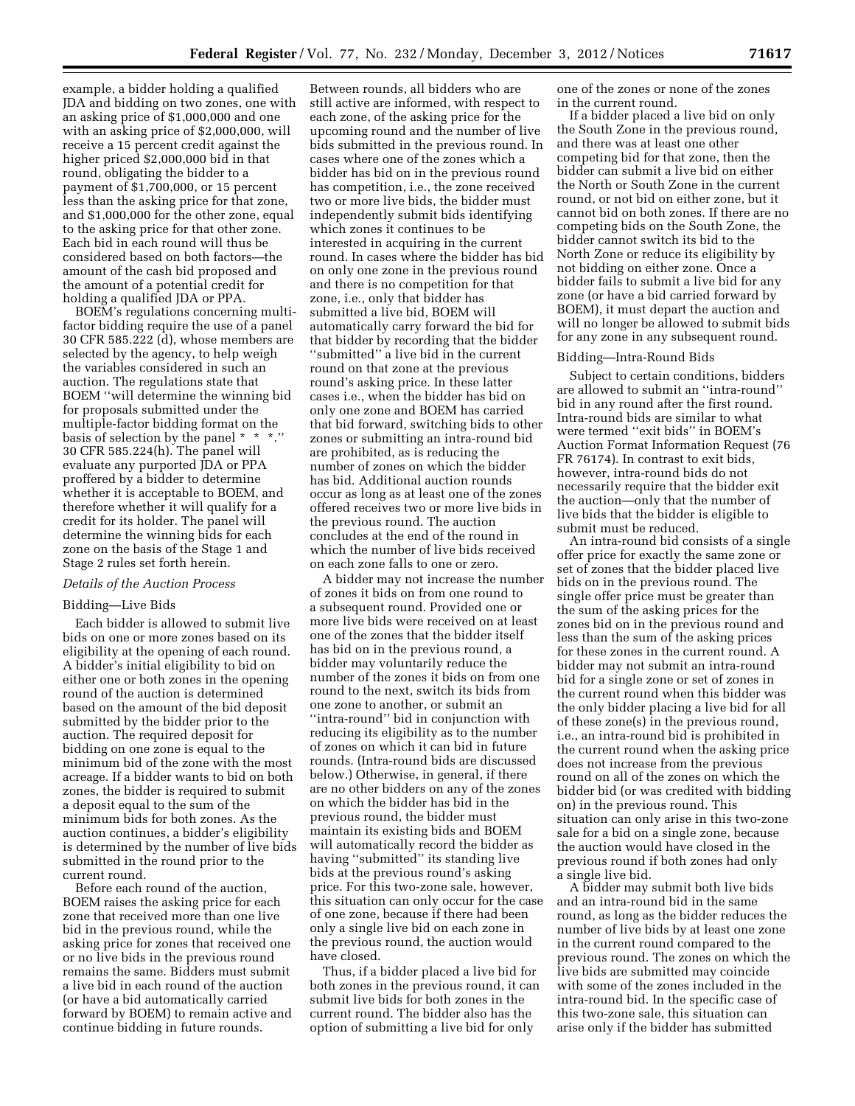example, a bidder holding a qualified JDA and bidding on two zones, one with an asking price of \$1,000,000 and one with an asking price of \$2,000,000, will receive a 15 percent credit against the higher priced \$2,000,000 bid in that round, obligating the bidder to a payment of \$1,700,000, or 15 percent less than the asking price for that zone, and \$1,000,000 for the other zone, equal to the asking price for that other zone. Each bid in each round will thus be considered based on both factors—the amount of the cash bid proposed and the amount of a potential credit for holding a qualified JDA or PPA.

BOEM's regulations concerning multifactor bidding require the use of a panel 30 CFR 585.222 (d), whose members are selected by the agency, to help weigh the variables considered in such an auction. The regulations state that BOEM ''will determine the winning bid for proposals submitted under the multiple-factor bidding format on the basis of selection by the panel \* \* \*.'' 30 CFR 585.224(h). The panel will evaluate any purported JDA or PPA proffered by a bidder to determine whether it is acceptable to BOEM, and therefore whether it will qualify for a credit for its holder. The panel will determine the winning bids for each zone on the basis of the Stage 1 and Stage 2 rules set forth herein.

#### *Details of the Auction Process*

### Bidding—Live Bids

Each bidder is allowed to submit live bids on one or more zones based on its eligibility at the opening of each round. A bidder's initial eligibility to bid on either one or both zones in the opening round of the auction is determined based on the amount of the bid deposit submitted by the bidder prior to the auction. The required deposit for bidding on one zone is equal to the minimum bid of the zone with the most acreage. If a bidder wants to bid on both zones, the bidder is required to submit a deposit equal to the sum of the minimum bids for both zones. As the auction continues, a bidder's eligibility is determined by the number of live bids submitted in the round prior to the current round.

Before each round of the auction, BOEM raises the asking price for each zone that received more than one live bid in the previous round, while the asking price for zones that received one or no live bids in the previous round remains the same. Bidders must submit a live bid in each round of the auction (or have a bid automatically carried forward by BOEM) to remain active and continue bidding in future rounds.

Between rounds, all bidders who are still active are informed, with respect to each zone, of the asking price for the upcoming round and the number of live bids submitted in the previous round. In cases where one of the zones which a bidder has bid on in the previous round has competition, i.e., the zone received two or more live bids, the bidder must independently submit bids identifying which zones it continues to be interested in acquiring in the current round. In cases where the bidder has bid on only one zone in the previous round and there is no competition for that zone, i.e., only that bidder has submitted a live bid, BOEM will automatically carry forward the bid for that bidder by recording that the bidder ''submitted'' a live bid in the current round on that zone at the previous round's asking price. In these latter cases i.e., when the bidder has bid on only one zone and BOEM has carried that bid forward, switching bids to other zones or submitting an intra-round bid are prohibited, as is reducing the number of zones on which the bidder has bid. Additional auction rounds occur as long as at least one of the zones offered receives two or more live bids in the previous round. The auction concludes at the end of the round in which the number of live bids received on each zone falls to one or zero.

A bidder may not increase the number of zones it bids on from one round to a subsequent round. Provided one or more live bids were received on at least one of the zones that the bidder itself has bid on in the previous round, a bidder may voluntarily reduce the number of the zones it bids on from one round to the next, switch its bids from one zone to another, or submit an ''intra-round'' bid in conjunction with reducing its eligibility as to the number of zones on which it can bid in future rounds. (Intra-round bids are discussed below.) Otherwise, in general, if there are no other bidders on any of the zones on which the bidder has bid in the previous round, the bidder must maintain its existing bids and BOEM will automatically record the bidder as having ''submitted'' its standing live bids at the previous round's asking price. For this two-zone sale, however, this situation can only occur for the case of one zone, because if there had been only a single live bid on each zone in the previous round, the auction would have closed.

Thus, if a bidder placed a live bid for both zones in the previous round, it can submit live bids for both zones in the current round. The bidder also has the option of submitting a live bid for only

one of the zones or none of the zones in the current round.

If a bidder placed a live bid on only the South Zone in the previous round, and there was at least one other competing bid for that zone, then the bidder can submit a live bid on either the North or South Zone in the current round, or not bid on either zone, but it cannot bid on both zones. If there are no competing bids on the South Zone, the bidder cannot switch its bid to the North Zone or reduce its eligibility by not bidding on either zone. Once a bidder fails to submit a live bid for any zone (or have a bid carried forward by BOEM), it must depart the auction and will no longer be allowed to submit bids for any zone in any subsequent round.

### Bidding—Intra-Round Bids

Subject to certain conditions, bidders are allowed to submit an ''intra-round'' bid in any round after the first round. Intra-round bids are similar to what were termed ''exit bids'' in BOEM's Auction Format Information Request (76 FR 76174). In contrast to exit bids, however, intra-round bids do not necessarily require that the bidder exit the auction—only that the number of live bids that the bidder is eligible to submit must be reduced.

An intra-round bid consists of a single offer price for exactly the same zone or set of zones that the bidder placed live bids on in the previous round. The single offer price must be greater than the sum of the asking prices for the zones bid on in the previous round and less than the sum of the asking prices for these zones in the current round. A bidder may not submit an intra-round bid for a single zone or set of zones in the current round when this bidder was the only bidder placing a live bid for all of these zone(s) in the previous round, i.e., an intra-round bid is prohibited in the current round when the asking price does not increase from the previous round on all of the zones on which the bidder bid (or was credited with bidding on) in the previous round. This situation can only arise in this two-zone sale for a bid on a single zone, because the auction would have closed in the previous round if both zones had only a single live bid.

A bidder may submit both live bids and an intra-round bid in the same round, as long as the bidder reduces the number of live bids by at least one zone in the current round compared to the previous round. The zones on which the live bids are submitted may coincide with some of the zones included in the intra-round bid. In the specific case of this two-zone sale, this situation can arise only if the bidder has submitted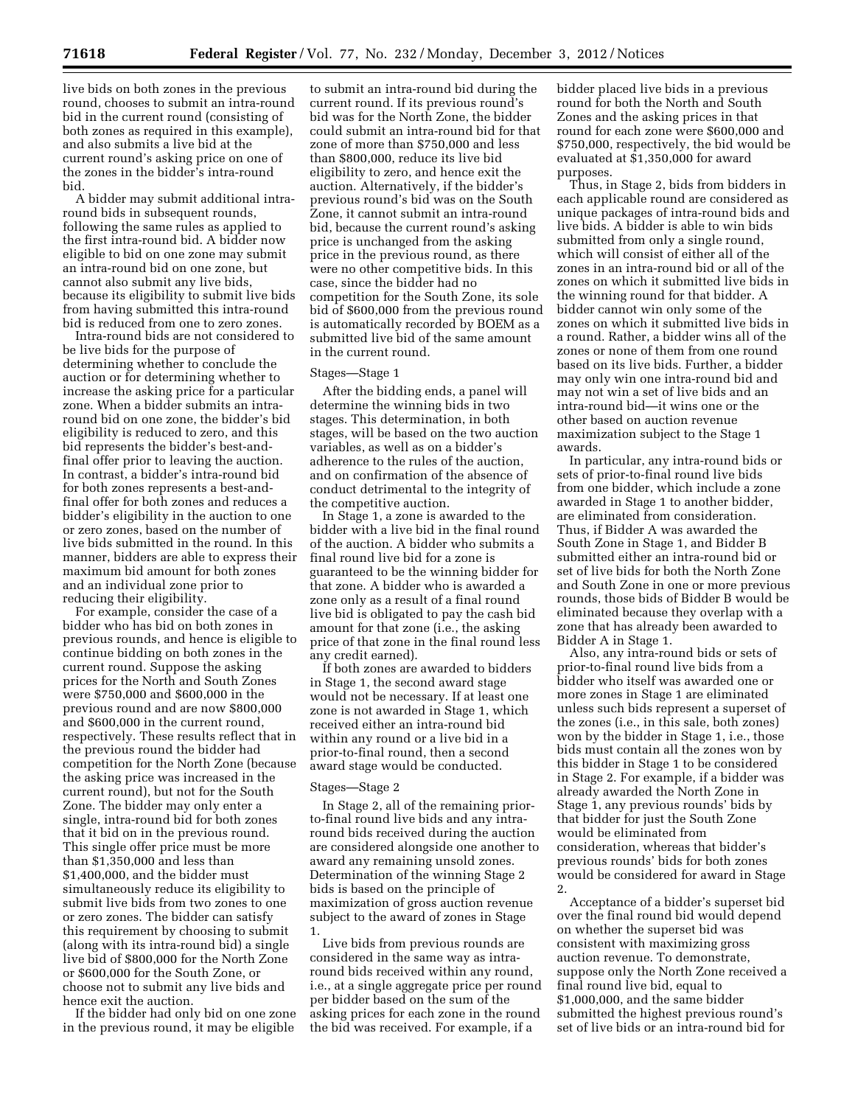live bids on both zones in the previous round, chooses to submit an intra-round bid in the current round (consisting of both zones as required in this example), and also submits a live bid at the current round's asking price on one of the zones in the bidder's intra-round bid.

A bidder may submit additional intraround bids in subsequent rounds, following the same rules as applied to the first intra-round bid. A bidder now eligible to bid on one zone may submit an intra-round bid on one zone, but cannot also submit any live bids, because its eligibility to submit live bids from having submitted this intra-round bid is reduced from one to zero zones.

Intra-round bids are not considered to be live bids for the purpose of determining whether to conclude the auction or for determining whether to increase the asking price for a particular zone. When a bidder submits an intraround bid on one zone, the bidder's bid eligibility is reduced to zero, and this bid represents the bidder's best-andfinal offer prior to leaving the auction. In contrast, a bidder's intra-round bid for both zones represents a best-andfinal offer for both zones and reduces a bidder's eligibility in the auction to one or zero zones, based on the number of live bids submitted in the round. In this manner, bidders are able to express their maximum bid amount for both zones and an individual zone prior to reducing their eligibility.

For example, consider the case of a bidder who has bid on both zones in previous rounds, and hence is eligible to continue bidding on both zones in the current round. Suppose the asking prices for the North and South Zones were \$750,000 and \$600,000 in the previous round and are now \$800,000 and \$600,000 in the current round, respectively. These results reflect that in the previous round the bidder had competition for the North Zone (because the asking price was increased in the current round), but not for the South Zone. The bidder may only enter a single, intra-round bid for both zones that it bid on in the previous round. This single offer price must be more than \$1,350,000 and less than \$1,400,000, and the bidder must simultaneously reduce its eligibility to submit live bids from two zones to one or zero zones. The bidder can satisfy this requirement by choosing to submit (along with its intra-round bid) a single live bid of \$800,000 for the North Zone or \$600,000 for the South Zone, or choose not to submit any live bids and hence exit the auction.

If the bidder had only bid on one zone in the previous round, it may be eligible

to submit an intra-round bid during the current round. If its previous round's bid was for the North Zone, the bidder could submit an intra-round bid for that zone of more than \$750,000 and less than \$800,000, reduce its live bid eligibility to zero, and hence exit the auction. Alternatively, if the bidder's previous round's bid was on the South Zone, it cannot submit an intra-round bid, because the current round's asking price is unchanged from the asking price in the previous round, as there were no other competitive bids. In this case, since the bidder had no competition for the South Zone, its sole bid of \$600,000 from the previous round is automatically recorded by BOEM as a submitted live bid of the same amount in the current round.

### Stages—Stage 1

After the bidding ends, a panel will determine the winning bids in two stages. This determination, in both stages, will be based on the two auction variables, as well as on a bidder's adherence to the rules of the auction, and on confirmation of the absence of conduct detrimental to the integrity of the competitive auction.

In Stage 1, a zone is awarded to the bidder with a live bid in the final round of the auction. A bidder who submits a final round live bid for a zone is guaranteed to be the winning bidder for that zone. A bidder who is awarded a zone only as a result of a final round live bid is obligated to pay the cash bid amount for that zone (i.e., the asking price of that zone in the final round less any credit earned).

If both zones are awarded to bidders in Stage 1, the second award stage would not be necessary. If at least one zone is not awarded in Stage 1, which received either an intra-round bid within any round or a live bid in a prior-to-final round, then a second award stage would be conducted.

#### Stages—Stage 2

In Stage 2, all of the remaining priorto-final round live bids and any intraround bids received during the auction are considered alongside one another to award any remaining unsold zones. Determination of the winning Stage 2 bids is based on the principle of maximization of gross auction revenue subject to the award of zones in Stage 1.

Live bids from previous rounds are considered in the same way as intraround bids received within any round, i.e., at a single aggregate price per round per bidder based on the sum of the asking prices for each zone in the round the bid was received. For example, if a

bidder placed live bids in a previous round for both the North and South Zones and the asking prices in that round for each zone were \$600,000 and \$750,000, respectively, the bid would be evaluated at \$1,350,000 for award purposes.

Thus, in Stage 2, bids from bidders in each applicable round are considered as unique packages of intra-round bids and live bids. A bidder is able to win bids submitted from only a single round, which will consist of either all of the zones in an intra-round bid or all of the zones on which it submitted live bids in the winning round for that bidder. A bidder cannot win only some of the zones on which it submitted live bids in a round. Rather, a bidder wins all of the zones or none of them from one round based on its live bids. Further, a bidder may only win one intra-round bid and may not win a set of live bids and an intra-round bid—it wins one or the other based on auction revenue maximization subject to the Stage 1 awards.

In particular, any intra-round bids or sets of prior-to-final round live bids from one bidder, which include a zone awarded in Stage 1 to another bidder, are eliminated from consideration. Thus, if Bidder A was awarded the South Zone in Stage 1, and Bidder B submitted either an intra-round bid or set of live bids for both the North Zone and South Zone in one or more previous rounds, those bids of Bidder B would be eliminated because they overlap with a zone that has already been awarded to Bidder A in Stage 1.

Also, any intra-round bids or sets of prior-to-final round live bids from a bidder who itself was awarded one or more zones in Stage 1 are eliminated unless such bids represent a superset of the zones (i.e., in this sale, both zones) won by the bidder in Stage 1, i.e., those bids must contain all the zones won by this bidder in Stage 1 to be considered in Stage 2. For example, if a bidder was already awarded the North Zone in Stage 1, any previous rounds' bids by that bidder for just the South Zone would be eliminated from consideration, whereas that bidder's previous rounds' bids for both zones would be considered for award in Stage 2.

Acceptance of a bidder's superset bid over the final round bid would depend on whether the superset bid was consistent with maximizing gross auction revenue. To demonstrate, suppose only the North Zone received a final round live bid, equal to \$1,000,000, and the same bidder submitted the highest previous round's set of live bids or an intra-round bid for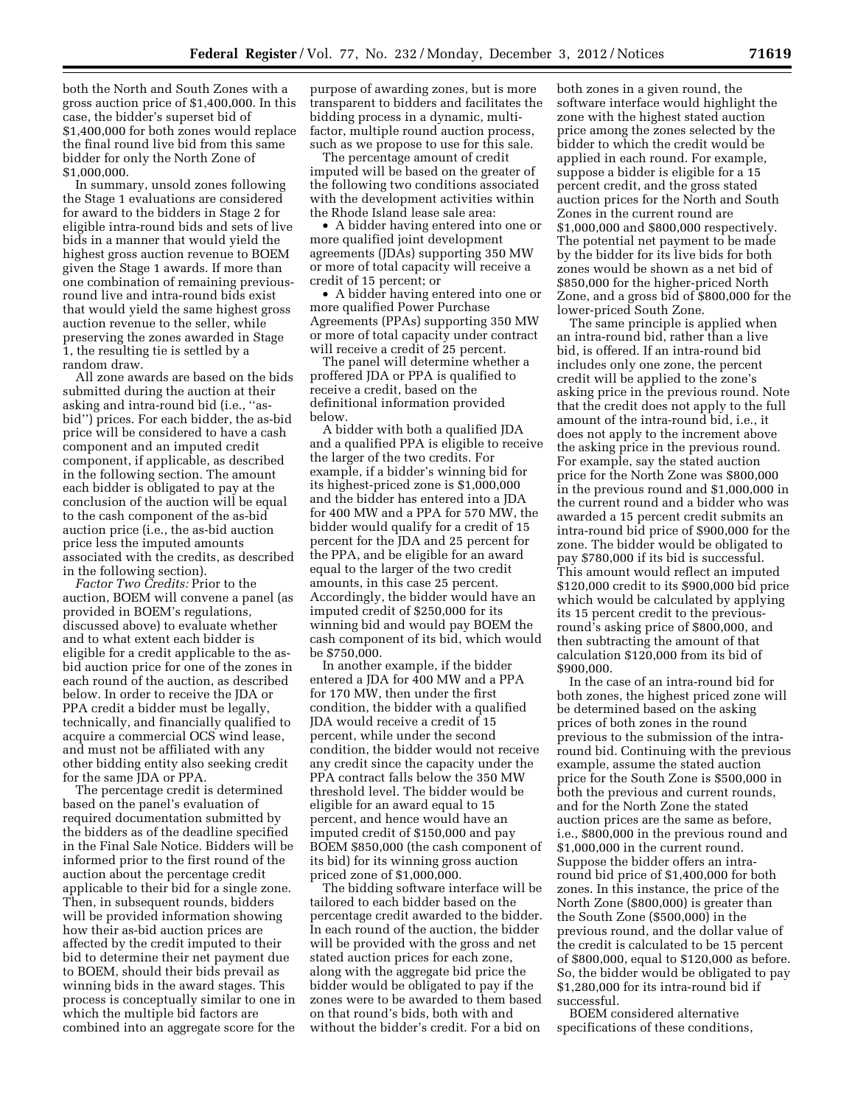both the North and South Zones with a gross auction price of \$1,400,000. In this case, the bidder's superset bid of \$1,400,000 for both zones would replace the final round live bid from this same bidder for only the North Zone of \$1,000,000.

In summary, unsold zones following the Stage 1 evaluations are considered for award to the bidders in Stage 2 for eligible intra-round bids and sets of live bids in a manner that would yield the highest gross auction revenue to BOEM given the Stage 1 awards. If more than one combination of remaining previousround live and intra-round bids exist that would yield the same highest gross auction revenue to the seller, while preserving the zones awarded in Stage 1, the resulting tie is settled by a random draw.

All zone awards are based on the bids submitted during the auction at their asking and intra-round bid (i.e., ''asbid'') prices. For each bidder, the as-bid price will be considered to have a cash component and an imputed credit component, if applicable, as described in the following section. The amount each bidder is obligated to pay at the conclusion of the auction will be equal to the cash component of the as-bid auction price (i.e., the as-bid auction price less the imputed amounts associated with the credits, as described in the following section).

*Factor Two Credits:* Prior to the auction, BOEM will convene a panel (as provided in BOEM's regulations, discussed above) to evaluate whether and to what extent each bidder is eligible for a credit applicable to the asbid auction price for one of the zones in each round of the auction, as described below. In order to receive the JDA or PPA credit a bidder must be legally, technically, and financially qualified to acquire a commercial OCS wind lease, and must not be affiliated with any other bidding entity also seeking credit for the same JDA or PPA.

The percentage credit is determined based on the panel's evaluation of required documentation submitted by the bidders as of the deadline specified in the Final Sale Notice. Bidders will be informed prior to the first round of the auction about the percentage credit applicable to their bid for a single zone. Then, in subsequent rounds, bidders will be provided information showing how their as-bid auction prices are affected by the credit imputed to their bid to determine their net payment due to BOEM, should their bids prevail as winning bids in the award stages. This process is conceptually similar to one in which the multiple bid factors are combined into an aggregate score for the

purpose of awarding zones, but is more transparent to bidders and facilitates the bidding process in a dynamic, multifactor, multiple round auction process, such as we propose to use for this sale.

The percentage amount of credit imputed will be based on the greater of the following two conditions associated with the development activities within the Rhode Island lease sale area:

• A bidder having entered into one or more qualified joint development agreements (JDAs) supporting 350 MW or more of total capacity will receive a credit of 15 percent; or

• A bidder having entered into one or more qualified Power Purchase Agreements (PPAs) supporting 350 MW or more of total capacity under contract will receive a credit of 25 percent.

The panel will determine whether a proffered JDA or PPA is qualified to receive a credit, based on the definitional information provided below.

A bidder with both a qualified JDA and a qualified PPA is eligible to receive the larger of the two credits. For example, if a bidder's winning bid for its highest-priced zone is \$1,000,000 and the bidder has entered into a JDA for 400 MW and a PPA for 570 MW, the bidder would qualify for a credit of 15 percent for the JDA and 25 percent for the PPA, and be eligible for an award equal to the larger of the two credit amounts, in this case 25 percent. Accordingly, the bidder would have an imputed credit of \$250,000 for its winning bid and would pay BOEM the cash component of its bid, which would be \$750,000.

In another example, if the bidder entered a JDA for 400 MW and a PPA for 170 MW, then under the first condition, the bidder with a qualified JDA would receive a credit of 15 percent, while under the second condition, the bidder would not receive any credit since the capacity under the PPA contract falls below the 350 MW threshold level. The bidder would be eligible for an award equal to 15 percent, and hence would have an imputed credit of \$150,000 and pay BOEM \$850,000 (the cash component of its bid) for its winning gross auction priced zone of \$1,000,000.

The bidding software interface will be tailored to each bidder based on the percentage credit awarded to the bidder. In each round of the auction, the bidder will be provided with the gross and net stated auction prices for each zone, along with the aggregate bid price the bidder would be obligated to pay if the zones were to be awarded to them based on that round's bids, both with and without the bidder's credit. For a bid on

both zones in a given round, the software interface would highlight the zone with the highest stated auction price among the zones selected by the bidder to which the credit would be applied in each round. For example, suppose a bidder is eligible for a 15 percent credit, and the gross stated auction prices for the North and South Zones in the current round are \$1,000,000 and \$800,000 respectively. The potential net payment to be made by the bidder for its live bids for both zones would be shown as a net bid of \$850,000 for the higher-priced North Zone, and a gross bid of \$800,000 for the lower-priced South Zone.

The same principle is applied when an intra-round bid, rather than a live bid, is offered. If an intra-round bid includes only one zone, the percent credit will be applied to the zone's asking price in the previous round. Note that the credit does not apply to the full amount of the intra-round bid, i.e., it does not apply to the increment above the asking price in the previous round. For example, say the stated auction price for the North Zone was \$800,000 in the previous round and \$1,000,000 in the current round and a bidder who was awarded a 15 percent credit submits an intra-round bid price of \$900,000 for the zone. The bidder would be obligated to pay \$780,000 if its bid is successful. This amount would reflect an imputed \$120,000 credit to its \$900,000 bid price which would be calculated by applying its 15 percent credit to the previousround's asking price of \$800,000, and then subtracting the amount of that calculation \$120,000 from its bid of \$900,000.

In the case of an intra-round bid for both zones, the highest priced zone will be determined based on the asking prices of both zones in the round previous to the submission of the intraround bid. Continuing with the previous example, assume the stated auction price for the South Zone is \$500,000 in both the previous and current rounds, and for the North Zone the stated auction prices are the same as before, i.e., \$800,000 in the previous round and \$1,000,000 in the current round. Suppose the bidder offers an intraround bid price of \$1,400,000 for both zones. In this instance, the price of the North Zone (\$800,000) is greater than the South Zone (\$500,000) in the previous round, and the dollar value of the credit is calculated to be 15 percent of \$800,000, equal to \$120,000 as before. So, the bidder would be obligated to pay \$1,280,000 for its intra-round bid if successful.

BOEM considered alternative specifications of these conditions,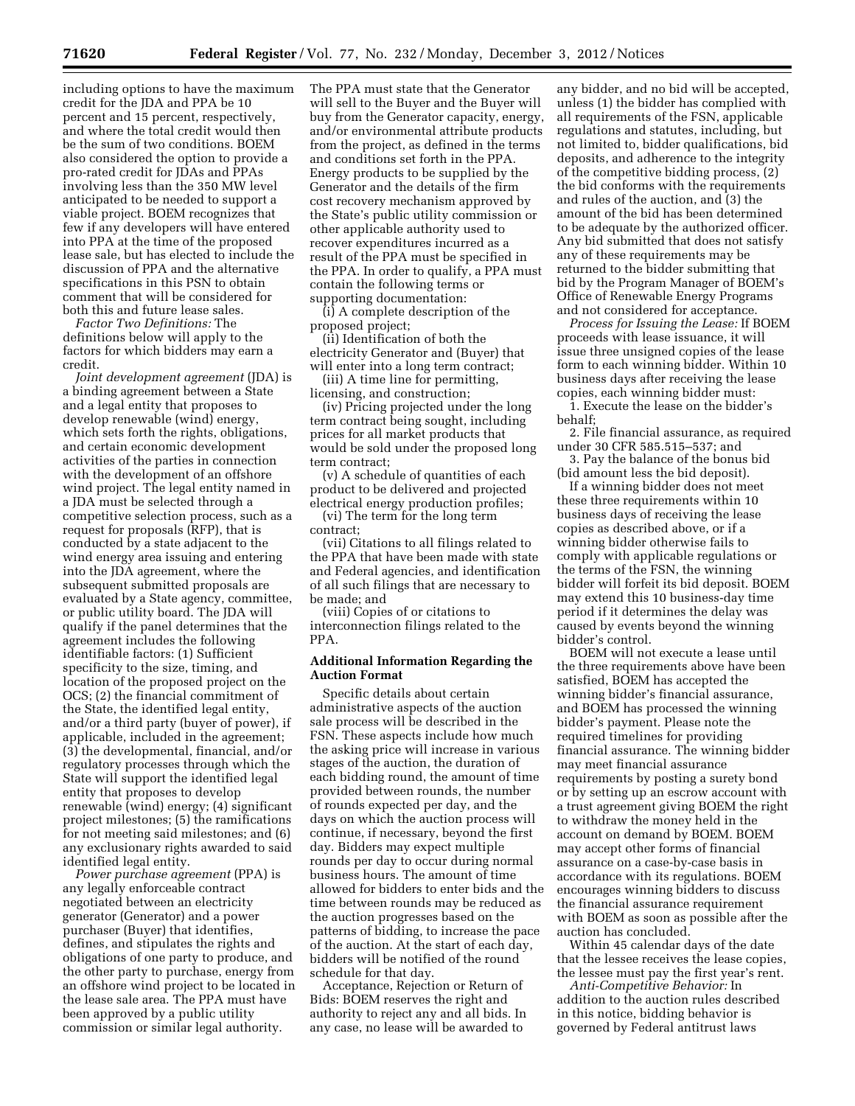including options to have the maximum credit for the JDA and PPA be 10 percent and 15 percent, respectively, and where the total credit would then be the sum of two conditions. BOEM also considered the option to provide a pro-rated credit for JDAs and PPAs involving less than the 350 MW level anticipated to be needed to support a viable project. BOEM recognizes that few if any developers will have entered into PPA at the time of the proposed lease sale, but has elected to include the discussion of PPA and the alternative specifications in this PSN to obtain comment that will be considered for both this and future lease sales.

*Factor Two Definitions:* The definitions below will apply to the factors for which bidders may earn a credit.

*Joint development agreement* (JDA) is a binding agreement between a State and a legal entity that proposes to develop renewable (wind) energy, which sets forth the rights, obligations, and certain economic development activities of the parties in connection with the development of an offshore wind project. The legal entity named in a JDA must be selected through a competitive selection process, such as a request for proposals (RFP), that is conducted by a state adjacent to the wind energy area issuing and entering into the JDA agreement, where the subsequent submitted proposals are evaluated by a State agency, committee, or public utility board. The JDA will qualify if the panel determines that the agreement includes the following identifiable factors: (1) Sufficient specificity to the size, timing, and location of the proposed project on the OCS; (2) the financial commitment of the State, the identified legal entity, and/or a third party (buyer of power), if applicable, included in the agreement; (3) the developmental, financial, and/or regulatory processes through which the State will support the identified legal entity that proposes to develop renewable (wind) energy; (4) significant project milestones; (5) the ramifications for not meeting said milestones; and (6) any exclusionary rights awarded to said identified legal entity.

*Power purchase agreement* (PPA) is any legally enforceable contract negotiated between an electricity generator (Generator) and a power purchaser (Buyer) that identifies, defines, and stipulates the rights and obligations of one party to produce, and the other party to purchase, energy from an offshore wind project to be located in the lease sale area. The PPA must have been approved by a public utility commission or similar legal authority.

The PPA must state that the Generator will sell to the Buyer and the Buyer will buy from the Generator capacity, energy, and/or environmental attribute products from the project, as defined in the terms and conditions set forth in the PPA. Energy products to be supplied by the Generator and the details of the firm cost recovery mechanism approved by the State's public utility commission or other applicable authority used to recover expenditures incurred as a result of the PPA must be specified in the PPA. In order to qualify, a PPA must contain the following terms or supporting documentation:

(i) A complete description of the proposed project;

(ii) Identification of both the electricity Generator and (Buyer) that will enter into a long term contract;

(iii) A time line for permitting, licensing, and construction;

(iv) Pricing projected under the long term contract being sought, including prices for all market products that would be sold under the proposed long term contract;

(v) A schedule of quantities of each product to be delivered and projected electrical energy production profiles;

(vi) The term for the long term contract;

(vii) Citations to all filings related to the PPA that have been made with state and Federal agencies, and identification of all such filings that are necessary to be made; and

(viii) Copies of or citations to interconnection filings related to the PPA.

# **Additional Information Regarding the Auction Format**

Specific details about certain administrative aspects of the auction sale process will be described in the FSN. These aspects include how much the asking price will increase in various stages of the auction, the duration of each bidding round, the amount of time provided between rounds, the number of rounds expected per day, and the days on which the auction process will continue, if necessary, beyond the first day. Bidders may expect multiple rounds per day to occur during normal business hours. The amount of time allowed for bidders to enter bids and the time between rounds may be reduced as the auction progresses based on the patterns of bidding, to increase the pace of the auction. At the start of each day, bidders will be notified of the round schedule for that day.

Acceptance, Rejection or Return of Bids: BOEM reserves the right and authority to reject any and all bids. In any case, no lease will be awarded to

any bidder, and no bid will be accepted, unless (1) the bidder has complied with all requirements of the FSN, applicable regulations and statutes, including, but not limited to, bidder qualifications, bid deposits, and adherence to the integrity of the competitive bidding process, (2) the bid conforms with the requirements and rules of the auction, and (3) the amount of the bid has been determined to be adequate by the authorized officer. Any bid submitted that does not satisfy any of these requirements may be returned to the bidder submitting that bid by the Program Manager of BOEM's Office of Renewable Energy Programs and not considered for acceptance.

*Process for Issuing the Lease:* If BOEM proceeds with lease issuance, it will issue three unsigned copies of the lease form to each winning bidder. Within 10 business days after receiving the lease copies, each winning bidder must:

1. Execute the lease on the bidder's behalf;

2. File financial assurance, as required under 30 CFR 585.515–537; and

3. Pay the balance of the bonus bid (bid amount less the bid deposit).

If a winning bidder does not meet these three requirements within 10 business days of receiving the lease copies as described above, or if a winning bidder otherwise fails to comply with applicable regulations or the terms of the FSN, the winning bidder will forfeit its bid deposit. BOEM may extend this 10 business-day time period if it determines the delay was caused by events beyond the winning bidder's control.

BOEM will not execute a lease until the three requirements above have been satisfied, BOEM has accepted the winning bidder's financial assurance, and BOEM has processed the winning bidder's payment. Please note the required timelines for providing financial assurance. The winning bidder may meet financial assurance requirements by posting a surety bond or by setting up an escrow account with a trust agreement giving BOEM the right to withdraw the money held in the account on demand by BOEM. BOEM may accept other forms of financial assurance on a case-by-case basis in accordance with its regulations. BOEM encourages winning bidders to discuss the financial assurance requirement with BOEM as soon as possible after the auction has concluded.

Within 45 calendar days of the date that the lessee receives the lease copies, the lessee must pay the first year's rent.

*Anti-Competitive Behavior:* In addition to the auction rules described in this notice, bidding behavior is governed by Federal antitrust laws